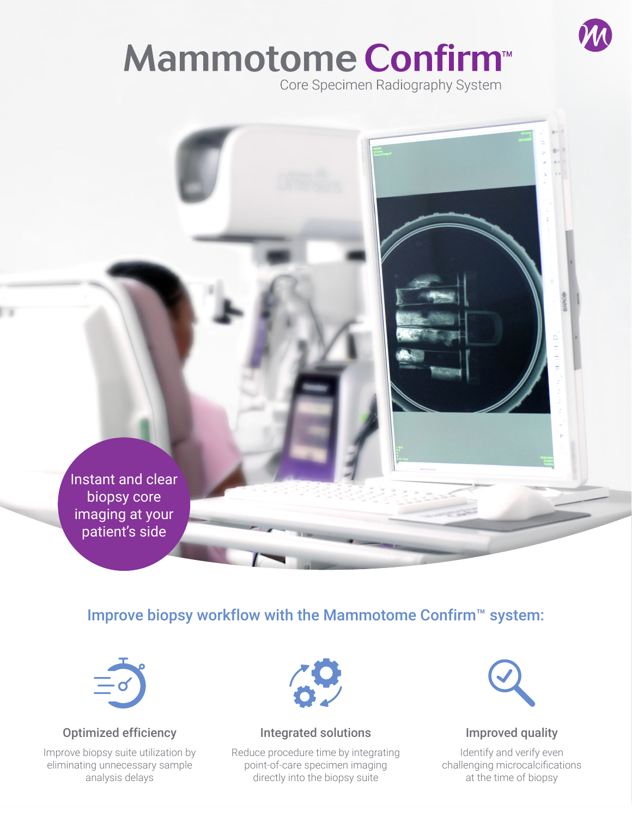# Mammotome Confirm<sup>™</sup>

Core Specimen Radiography System

Instant and clear biopsy core imaging at your patient's side

# Improve biopsy workflow with the Mammotome Confirm™ system:



### Optimized efficiency

Improve biopsy suite utilization by eliminating unnecessary sample analysis delays



#### Integrated solutions

Reduce procedure time by integrating point-of-care specimen imaging directly into the biopsy suite



#### Improved quality

Identify and verify even challenging microcalcifications at the time of biopsy